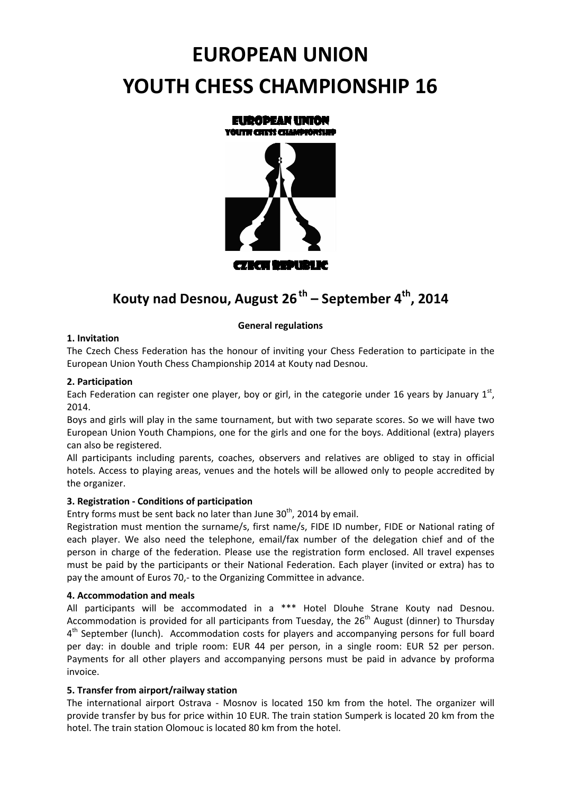# **EUROPEAN UNION YOUTH CHESS CHAMPIONSHIP 16**



# **Kouty nad Desnou, August 26th – September 4th, 2014**

# **General regulations**

# **1. Invitation**

The Czech Chess Federation has the honour of inviting your Chess Federation to participate in the European Union Youth Chess Championship 2014 at Kouty nad Desnou.

#### **2. Participation**

Each Federation can register one player, boy or girl, in the categorie under 16 years by January  $1^{\text{st}}$ , 2014.

Boys and girls will play in the same tournament, but with two separate scores. So we will have two European Union Youth Champions, one for the girls and one for the boys. Additional (extra) players can also be registered.

All participants including parents, coaches, observers and relatives are obliged to stay in official hotels. Access to playing areas, venues and the hotels will be allowed only to people accredited by the organizer.

# **3. Registration - Conditions of participation**

Entry forms must be sent back no later than June  $30<sup>th</sup>$ , 2014 by email.

Registration must mention the surname/s, first name/s, FIDE ID number, FIDE or National rating of each player. We also need the telephone, email/fax number of the delegation chief and of the person in charge of the federation. Please use the registration form enclosed. All travel expenses must be paid by the participants or their National Federation. Each player (invited or extra) has to pay the amount of Euros 70,- to the Organizing Committee in advance.

#### **4. Accommodation and meals**

All participants will be accommodated in a \*\*\* Hotel Dlouhe Strane Kouty nad Desnou. Accommodation is provided for all participants from Tuesday, the  $26<sup>th</sup>$  August (dinner) to Thursday 4<sup>th</sup> September (lunch). Accommodation costs for players and accompanying persons for full board per day: in double and triple room: EUR 44 per person, in a single room: EUR 52 per person. Payments for all other players and accompanying persons must be paid in advance by proforma invoice.

#### **5. Transfer from airport/railway station**

The international airport Ostrava - Mosnov is located 150 km from the hotel. The organizer will provide transfer by bus for price within 10 EUR. The train station Sumperk is located 20 km from the hotel. The train station Olomouc is located 80 km from the hotel.